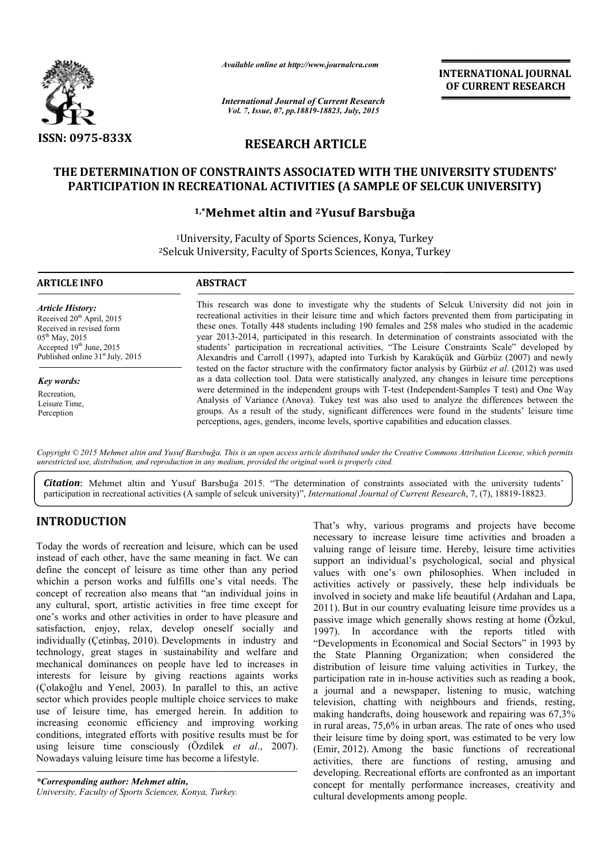

*Available online at http://www.journalcra.com*

INTERNATIONAL INTERNATIONAL JOURNAL OF CURRENT RESEARCH

*International Journal of Current Research Vol. 7, Issue, 07, pp.18819-18823, July, 2015*

# RESEARCH ARTICLE

## THE DETERMINATION OF CONSTRAINTS ASSOCIATED WITH THE UNIVERSITY STUDENTS' IE DETERMINATION OF CONSTRAINTS ASSOCIATED WITH THE UNIVERSITY STUDEN'<br>PARTICIPATION IN RECREATIONAL ACTIVITIES (A SAMPLE OF SELCUK UNIVERSITY)

## 1,\*Mehm Mehmet altin and 2Yusuf Barsbuğa

1University, Faculty of Sports Sciences, Konya, Turkey 2Selcuk University, Faculty of Sports Sciences, Konya, Turkey <sup>1</sup>University, Faculty of Spor<br>Selcuk University, Faculty of S<br>————————————————————

| <b>ARTICLE INFO</b>                                                                                                                                                                             | <b>ABSTRACT</b>                                                                                                                                                                                                                                                                                                                                                                                                                                                                                                                                                                                                   |
|-------------------------------------------------------------------------------------------------------------------------------------------------------------------------------------------------|-------------------------------------------------------------------------------------------------------------------------------------------------------------------------------------------------------------------------------------------------------------------------------------------------------------------------------------------------------------------------------------------------------------------------------------------------------------------------------------------------------------------------------------------------------------------------------------------------------------------|
| <b>Article History:</b><br>Received 20 <sup>th</sup> April, 2015<br>Received in revised form<br>$05^{th}$ May, 2015<br>Accepted 19th June, 2015<br>Published online 31 <sup>st</sup> July, 2015 | This research was done to investigate why the students of Selcuk University did not join in<br>recreational activities in their leisure time and which factors prevented them from participating in<br>these ones. Totally 448 students including 190 females and 258 males who studied in the academic<br>year 2013-2014, participated in this research. In determination of constraints associated with the<br>students' participation in recreational activities, "The Leisure Constraints Scale" developed by<br>Alexandris and Carroll (1997), adapted into Turkish by Karaküçük and Gürbüz (2007) and newly |
| Key words:<br>Recreation,<br>Leisure Time,<br>Perception                                                                                                                                        | tested on the factor structure with the confirmatory factor analysis by Gürbüz et al. (2012) was used<br>as a data collection tool. Data were statistically analyzed, any changes in leisure time perceptions<br>were determined in the independent groups with T-test (Independent-Samples T test) and One Way<br>Analysis of Variance (Anova). Tukey test was also used to analyze the differences between the<br>groups. As a result of the study, significant differences were found in the students' leisure time<br>perceptions, ages, genders, income levels, sportive capabilities and education classes. |

Copyright © 2015 Mehmet altin and Yusuf Barsbuğa. This is an open access article distributed under the Creative Commons Attribution License, which permits *unrestricted use, distribution, and reproduction in any medium, provided the original work is properly cited.*

Citation: Mehmet altin and Yusuf Barsbuğa 2015. "The determination of constraints associated with the university tudents' participation in recreational activities (A sample of selcuk university)", *International Journal of Current Research*, 7, (7), 18819-18823.

## INTRODUCTION

Today the words of recreation and leisure, which can be used instead of each other, have the same meaning in fact. We can define the concept of leisure as time other than any period whichin a person works and fulfills one's vital needs. The concept of recreation also means that "an individual joins in any cultural, sport, artistic activities in free time except for one's works and other activities in order to have pleasure and satisfaction, enjoy, relax, develop oneself socially and individually (Çetinbaş, 2010). Developments in industry and technology, great stages in sustainability and welfare and mechanical dominances on people have led to increases in interests for leisure by giving reactions againts works (Çolakoğlu and Yenel, 2003). In parallel to this, an active sector which provides people multiple choice services to make use of leisure time, has emerged herein. In addition to increasing economic efficiency and improving working conditions, integrated efforts with positive results must be for using leisure time consciously (Özdilek *et al.*, 2007). Nowadays valuing leisure time has become a lifestyle. ides people multiple choice services to make<br>ime, has emerged herein. In addition to<br>mic efficiency and improving working<br>ated efforts with positive results must be for<br>me consciously (Özdilek *et al.*, 2007).

*\*Corresponding author: Mehmet altin, University, Faculty of Sports Sciences, Konya, Turkey Turkey.* That's why, various programs and projects have become That's why, various programs and projects have become necessary to increase leisure time activities and broaden a valuing range of leisure time. Hereby, leisure time activities support an individual's psychological, social and physical values with one's own philosophies. When included in activities actively or passively, these help individuals be involved in society and make life beautiful (Ardahan and Lapa, 2011). But in our country evaluating leisure time provides us a passive image which generally shows resting at home (Özkul, 1997). In accordance with the reports titled with "Developments in Economical and Social Sectors" in 1993 by the State Planning Organization; when considered the distribution of leisure time valuing activities in Turkey, the participation rate in in-house activities such as reading a book, a journal and a newspaper, listening to music, watching television, chatting with neighbours and friends, resting, making handcrafts, doing housework and repairing was 67,3% in rural areas, 75,6% in urban areas. The rate of ones who used their leisure time by doing sport, was estimated to be very low (Emir, 2012). Among the basic functions of recreational activities, there are functions of resting, amusing and developing. Recreational efforts are confronted as an important (Emir, 2012). Among the basic functions of recreational activities, there are functions of resting, amusing and developing. Recreational efforts are confronted as an important concept for mentally performance increases, cr cultural developments among people. valuing range of leisure time. Hereby, leisure time activities support an individual's psychological, social and physical values with one's own philosophies. When included in activities actively or passively, these help in involved in society and make life beautiful (Ardahan and Lapa, 2011). But in our country evaluating leisure time provides us a passive image which generally shows resting at home (Özkul, 1997). In accordance with the repor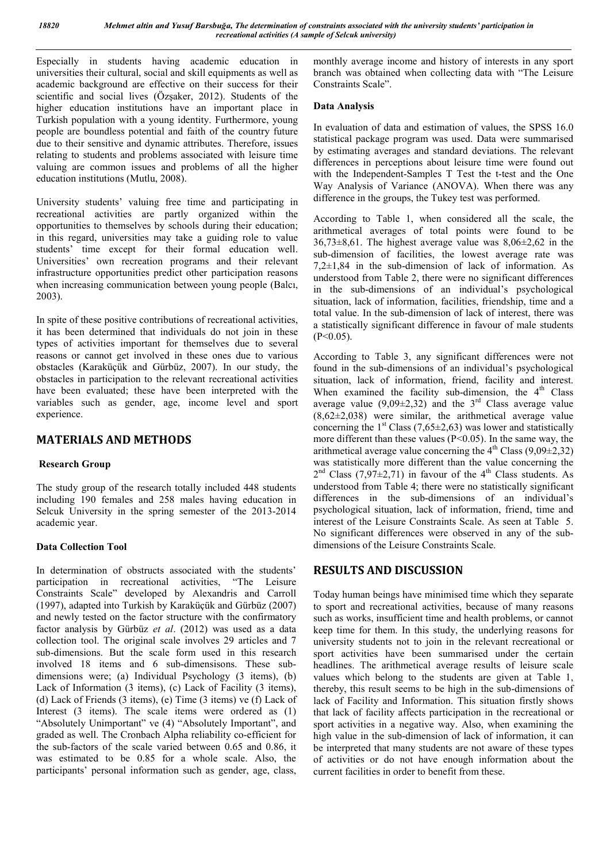Especially in students having academic education in universities their cultural, social and skill equipments as well as academic background are effective on their success for their scientific and social lives (Özşaker, 2012). Students of the higher education institutions have an important place in Turkish population with a young identity. Furthermore, young people are boundless potential and faith of the country future due to their sensitive and dynamic attributes. Therefore, issues relating to students and problems associated with leisure time valuing are common issues and problems of all the higher education institutions (Mutlu, 2008).

University students' valuing free time and participating in recreational activities are partly organized within the opportunities to themselves by schools during their education; in this regard, universities may take a guiding role to value students' time except for their formal education well. Universities' own recreation programs and their relevant infrastructure opportunities predict other participation reasons when increasing communication between young people (Balcı, 2003).

In spite of these positive contributions of recreational activities, it has been determined that individuals do not join in these types of activities important for themselves due to several reasons or cannot get involved in these ones due to various obstacles (Karaküçük and Gürbüz, 2007). In our study, the obstacles in participation to the relevant recreational activities have been evaluated; these have been interpreted with the variables such as gender, age, income level and sport experience.

## MATERIALS AND METHODS

## Research Group

The study group of the research totally included 448 students including 190 females and 258 males having education in Selcuk University in the spring semester of the 2013-2014 academic year.

## Data Collection Tool

In determination of obstructs associated with the students' narticination in recreational activities, "The Leisure participation in recreational activities, Constraints Scale" developed by Alexandris and Carroll (1997), adapted into Turkish by Karaküçük and Gürbüz (2007) and newly tested on the factor structure with the confirmatory factor analysis by Gürbüz *et al*. (2012) was used as a data collection tool. The original scale involves 29 articles and 7 sub-dimensions. But the scale form used in this research involved 18 items and 6 sub-dimensisons. These subdimensions were; (a) Individual Psychology (3 items), (b) Lack of Information (3 items), (c) Lack of Facility (3 items), (d) Lack of Friends (3 items), (e) Time (3 items) ve (f) Lack of Interest (3 items). The scale items were ordered as (1) "Absolutely Unimportant" ve (4) "Absolutely Important", and graded as well. The Cronbach Alpha reliability co-efficient for the sub-factors of the scale varied between 0.65 and 0.86, it was estimated to be 0.85 for a whole scale. Also, the participants' personal information such as gender, age, class,

monthly average income and history of interests in any sport branch was obtained when collecting data with "The Leisure Constraints Scale".

## Data Analysis

In evaluation of data and estimation of values, the SPSS 16.0 statistical package program was used. Data were summarised by estimating averages and standard deviations. The relevant differences in perceptions about leisure time were found out with the Independent-Samples T Test the t-test and the One Way Analysis of Variance (ANOVA). When there was any difference in the groups, the Tukey test was performed.

According to Table 1, when considered all the scale, the arithmetical averages of total points were found to be 36,73±8,61. The highest average value was 8,06±2,62 in the sub-dimension of facilities, the lowest average rate was 7,2±1,84 in the sub-dimension of lack of information. As understood from Table 2, there were no significant differences in the sub-dimensions of an individual's psychological situation, lack of information, facilities, friendship, time and a total value. In the sub-dimension of lack of interest, there was a statistically significant difference in favour of male students  $(P<0.05)$ .

According to Table 3, any significant differences were not found in the sub-dimensions of an individual's psychological situation, lack of information, friend, facility and interest. When examined the facility sub-dimension, the  $4<sup>th</sup>$  Class average value  $(9,09\pm2,32)$  and the 3<sup>rd</sup> Class average value (8,62±2,038) were similar, the arithmetical average value concerning the  $1<sup>st</sup> Class (7,65±2,63)$  was lower and statistically more different than these values (P<0.05). In the same way, the arithmetical average value concerning the  $4^{th}$  Class (9,09 $\pm$ 2,32) was statistically more different than the value concerning the  $2<sup>nd</sup> Class (7,97±2,71)$  in favour of the 4<sup>th</sup> Class students. As understood from Table 4; there were no statistically significant differences in the sub-dimensions of an individual's psychological situation, lack of information, friend, time and interest of the Leisure Constraints Scale. As seen at Table 5. No significant differences were observed in any of the subdimensions of the Leisure Constraints Scale.

# RESULTS AND DISCUSSION

Today human beings have minimised time which they separate to sport and recreational activities, because of many reasons such as works, insufficient time and health problems, or cannot keep time for them. In this study, the underlying reasons for university students not to join in the relevant recreational or sport activities have been summarised under the certain headlines. The arithmetical average results of leisure scale values which belong to the students are given at Table 1, thereby, this result seems to be high in the sub-dimensions of lack of Facility and Information. This situation firstly shows that lack of facility affects participation in the recreational or sport activities in a negative way. Also, when examining the high value in the sub-dimension of lack of information, it can be interpreted that many students are not aware of these types of activities or do not have enough information about the current facilities in order to benefit from these.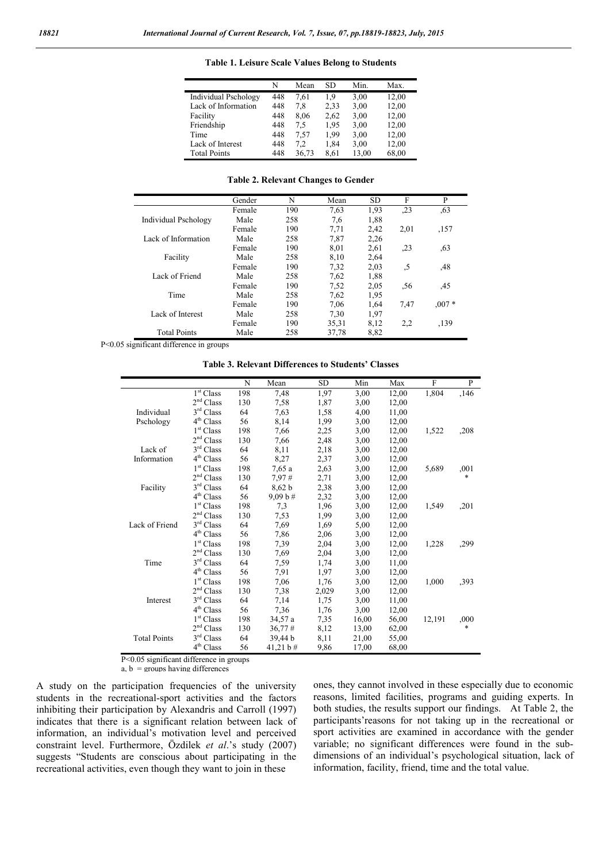|                             | N   | Mean  | SD.  | Min.  | Max.  |
|-----------------------------|-----|-------|------|-------|-------|
| <b>Individual Pschology</b> | 448 | 7.61  | 1.9  | 3,00  | 12,00 |
| Lack of Information         | 448 | 7.8   | 2,33 | 3,00  | 12,00 |
| Facility                    | 448 | 8,06  | 2,62 | 3,00  | 12,00 |
| Friendship                  | 448 | 7.5   | 1,95 | 3,00  | 12,00 |
| Time                        | 448 | 7.57  | 1,99 | 3,00  | 12,00 |
| Lack of Interest            | 448 | 7.2   | 1,84 | 3,00  | 12,00 |
| <b>Total Points</b>         | 448 | 36,73 | 8,61 | 13,00 | 68,00 |

Table 1. Leisure Scale Values Belong to Students

|                      | Gender | N   | Mean  | <b>SD</b> | F    | P       |
|----------------------|--------|-----|-------|-----------|------|---------|
|                      | Female | 190 | 7.63  | 1,93      | , 23 | ,63     |
| Individual Pschology | Male   | 258 | 7,6   | 1,88      |      |         |
|                      | Female | 190 | 7,71  | 2,42      | 2,01 | ,157    |
| Lack of Information  | Male   | 258 | 7,87  | 2,26      |      |         |
|                      | Female | 190 | 8,01  | 2,61      | , 23 | .63     |
| Facility             | Male   | 258 | 8,10  | 2,64      |      |         |
|                      | Female | 190 | 7.32  | 2,03      | .5   | ,48     |
| Lack of Friend       | Male   | 258 | 7.62  | 1,88      |      |         |
|                      | Female | 190 | 7.52  | 2,05      | ,56  | .45     |
| Time                 | Male   | 258 | 7.62  | 1.95      |      |         |
|                      | Female | 190 | 7.06  | 1.64      | 7.47 | $0.07*$ |
| Lack of Interest     | Male   | 258 | 7,30  | 1,97      |      |         |
|                      | Female | 190 | 35,31 | 8,12      | 2,2  | ,139    |
| <b>Total Points</b>  | Male   | 258 | 37,78 | 8,82      |      |         |

P<0.05 significant difference in groups

#### Table 3. Relevant Differences to Students' Classes

|                     |                          | N   | Mean        | <b>SD</b> | Min   | Max   | F      | $\mathbf{P}$ |
|---------------------|--------------------------|-----|-------------|-----------|-------|-------|--------|--------------|
|                     | 1 <sup>st</sup> Class    | 198 | 7,48        | 1,97      | 3,00  | 12,00 | 1,804  | ,146         |
|                     | $2^{\rm nd}$ Class       | 130 | 7,58        | 1,87      | 3,00  | 12,00 |        |              |
| Individual          | $3^{\rm rd}$ Class       | 64  | 7,63        | 1.58      | 4,00  | 11,00 |        |              |
| Pschology           | 4 <sup>th</sup> Class    | 56  | 8,14        | 1,99      | 3,00  | 12.00 |        |              |
|                     | 1 <sup>st</sup> Class    | 198 | 7,66        | 2,25      | 3,00  | 12,00 | 1,522  | ,208         |
|                     | $2^{\rm nd}$ Class       | 130 | 7,66        | 2,48      | 3,00  | 12,00 |        |              |
| Lack of             | 3 <sup>rd</sup> Class    | 64  | 8,11        | 2,18      | 3,00  | 12,00 |        |              |
| Information         | 4 <sup>th</sup> Class    | 56  | 8,27        | 2,37      | 3,00  | 12,00 |        |              |
|                     | 1 <sup>st</sup> Class    | 198 | 7,65a       | 2,63      | 3,00  | 12,00 | 5,689  | ,001         |
|                     | 2 <sup>nd</sup> Class    | 130 | 7,97#       | 2,71      | 3,00  | 12,00 |        | *            |
| Facility            | $3^{\rm rd}$ Class       | 64  | 8,62 b      | 2,38      | 3,00  | 12,00 |        |              |
|                     | 4 <sup>th</sup> Class    | 56  | 9,09 b#     | 2,32      | 3,00  | 12,00 |        |              |
|                     | 1 <sup>st</sup> Class    | 198 | 7,3         | 1,96      | 3,00  | 12,00 | 1,549  | ,201         |
|                     | 2 <sup>nd</sup> Class    | 130 | 7,53        | 1.99      | 3,00  | 12,00 |        |              |
| Lack of Friend      | $3rd$ Class              | 64  | 7,69        | 1,69      | 5,00  | 12,00 |        |              |
|                     | 4 <sup>th</sup> Class    | 56  | 7,86        | 2,06      | 3,00  | 12,00 |        |              |
|                     | 1 <sup>st</sup> Class    | 198 | 7.39        | 2,04      | 3,00  | 12,00 | 1,228  | ,299         |
|                     | 2 <sup>nd</sup> Class    | 130 | 7,69        | 2,04      | 3,00  | 12,00 |        |              |
| Time                | 3 <sup>rd</sup> Class    | 64  | 7,59        | 1,74      | 3,00  | 11,00 |        |              |
|                     | $4^{\text{th}}$ Class    | 56  | 7,91        | 1,97      | 3,00  | 12,00 |        |              |
|                     | 1 <sup>st</sup> Class    | 198 | 7,06        | 1,76      | 3,00  | 12,00 | 1,000  | ,393         |
|                     | 2 <sup>nd</sup> Class    | 130 | 7,38        | 2,029     | 3,00  | 12,00 |        |              |
| Interest            | 3 <sup>rd</sup> Class    | 64  | 7,14        | 1.75      | 3,00  | 11,00 |        |              |
|                     | 4 <sup>th</sup> Class    | 56  | 7,36        | 1,76      | 3,00  | 12,00 |        |              |
|                     | 1 <sup>st</sup> Class    | 198 | 34,57 a     | 7,35      | 16,00 | 56,00 | 12,191 | ,000         |
|                     | 2 <sup>nd</sup> Class    | 130 | 36,77#      | 8,12      | 13,00 | 62,00 |        | *            |
| <b>Total Points</b> | 3 <sup>rd</sup><br>Class | 64  | 39,44 b     | 8,11      | 21,00 | 55,00 |        |              |
|                     | 4 <sup>th</sup> Class    | 56  | 41,21 b $#$ | 9,86      | 17,00 | 68,00 |        |              |

P<0.05 significant difference in groups

a.  $b =$  groups having differences

A study on the participation frequencies of the university students in the recreational-sport activities and the factors inhibiting their participation by Alexandris and Carroll (1997) indicates that there is a significant relation between lack of information, an individual's motivation level and perceived constraint level. Furthermore, Özdilek *et al*.'s study (2007) suggests "Students are conscious about participating in the recreational activities, even though they want to join in these

ones, they cannot involved in these especially due to economic reasons, limited facilities, programs and guiding experts. In both studies, the results support our findings. At Table 2, the participants'reasons for not taking up in the recreational or sport activities are examined in accordance with the gender variable; no significant differences were found in the subdimensions of an individual's psychological situation, lack of information, facility, friend, time and the total value.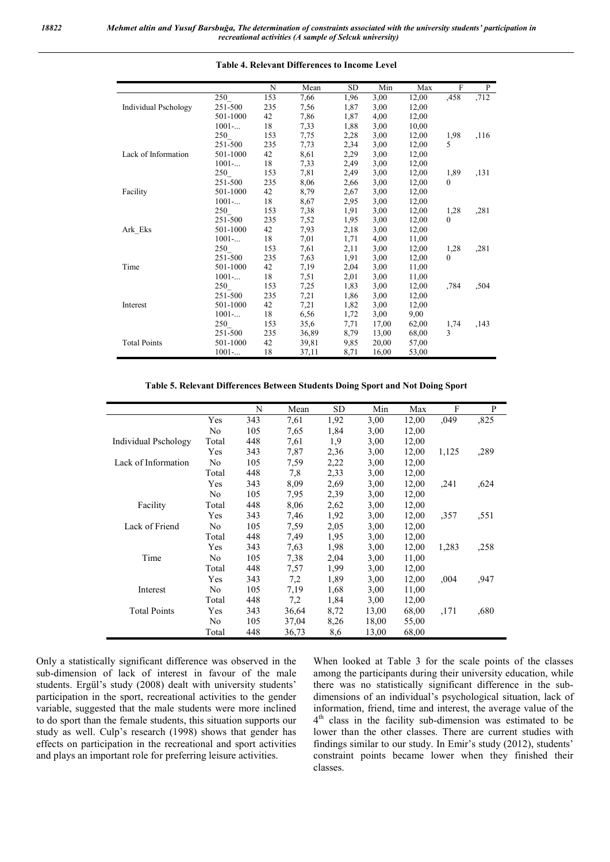|                             |          | $\mathbf N$ | Mean  | <b>SD</b> | Min   | Max   | F            | P     |
|-----------------------------|----------|-------------|-------|-----------|-------|-------|--------------|-------|
|                             | 250      | 153         | 7,66  | 1,96      | 3,00  | 12,00 | ,458         | ,712  |
| <b>Individual Pschology</b> | 251-500  | 235         | 7,56  | 1,87      | 3,00  | 12,00 |              |       |
|                             | 501-1000 | 42          | 7,86  | 1,87      | 4,00  | 12,00 |              |       |
|                             | 1001     | $18\,$      | 7,33  | 1,88      | 3,00  | 10,00 |              |       |
|                             | 250      | 153         | 7,75  | 2,28      | 3,00  | 12,00 | 1,98         | ,116  |
|                             | 251-500  | 235         | 7,73  | 2,34      | 3,00  | 12,00 | 5            |       |
| Lack of Information         | 501-1000 | 42          | 8,61  | 2,29      | 3,00  | 12,00 |              |       |
|                             | 1001     | 18          | 7,33  | 2,49      | 3,00  | 12,00 |              |       |
|                             | 250      | 153         | 7,81  | 2,49      | 3,00  | 12,00 | 1,89         | , 131 |
|                             | 251-500  | 235         | 8,06  | 2,66      | 3,00  | 12,00 | $\theta$     |       |
| Facility                    | 501-1000 | 42          | 8,79  | 2,67      | 3,00  | 12,00 |              |       |
|                             | $1001$ - | $18\,$      | 8,67  | 2,95      | 3,00  | 12,00 |              |       |
|                             | 250      | 153         | 7,38  | 1,91      | 3,00  | 12,00 | 1,28         | ,281  |
|                             | 251-500  | 235         | 7,52  | 1,95      | 3,00  | 12,00 | $\theta$     |       |
| Ark Eks                     | 501-1000 | 42          | 7,93  | 2,18      | 3,00  | 12,00 |              |       |
|                             | 1001     | 18          | 7,01  | 1,71      | 4,00  | 11,00 |              |       |
|                             | 250      | 153         | 7,61  | 2,11      | 3,00  | 12,00 | 1,28         | ,281  |
|                             | 251-500  | 235         | 7,63  | 1,91      | 3,00  | 12,00 | $\mathbf{0}$ |       |
| Time                        | 501-1000 | 42          | 7,19  | 2,04      | 3,00  | 11,00 |              |       |
|                             | 1001     | $18\,$      | 7,51  | 2,01      | 3,00  | 11,00 |              |       |
|                             | 250      | 153         | 7,25  | 1,83      | 3,00  | 12,00 | ,784         | ,504  |
|                             | 251-500  | 235         | 7,21  | 1,86      | 3,00  | 12,00 |              |       |
| Interest                    | 501-1000 | 42          | 7,21  | 1,82      | 3,00  | 12,00 |              |       |
|                             | 1001     | 18          | 6,56  | 1,72      | 3,00  | 9,00  |              |       |
|                             | 250      | 153         | 35,6  | 7,71      | 17,00 | 62,00 | 1,74         | ,143  |
|                             | 251-500  | 235         | 36,89 | 8,79      | 13,00 | 68,00 | 3            |       |
| <b>Total Points</b>         | 501-1000 | 42          | 39,81 | 9,85      | 20,00 | 57,00 |              |       |
|                             | 1001     | 18          | 37,11 | 8,71      | 16,00 | 53,00 |              |       |

#### Table 4. Relevant Differences to Income Level

#### Table 5. Relevant Differences Between Students Doing Sport and Not Doing Sport

|                      |                | N   | Mean  | SD   | Min   | Max   | F     | P    |
|----------------------|----------------|-----|-------|------|-------|-------|-------|------|
|                      | Yes            | 343 | 7,61  | 1,92 | 3,00  | 12,00 | .049  | ,825 |
|                      | No             | 105 | 7.65  | 1,84 | 3,00  | 12,00 |       |      |
| Individual Pschology | Total          | 448 | 7,61  | 1,9  | 3,00  | 12,00 |       |      |
|                      | Yes            | 343 | 7,87  | 2.36 | 3,00  | 12,00 | 1,125 | ,289 |
| Lack of Information  | No             | 105 | 7,59  | 2,22 | 3,00  | 12,00 |       |      |
|                      | Total          | 448 | 7,8   | 2,33 | 3,00  | 12,00 |       |      |
|                      | Yes            | 343 | 8,09  | 2.69 | 3,00  | 12,00 | .241  | ,624 |
|                      | No             | 105 | 7,95  | 2,39 | 3,00  | 12,00 |       |      |
| Facility             | Total          | 448 | 8,06  | 2,62 | 3,00  | 12,00 |       |      |
|                      | Yes            | 343 | 7,46  | 1,92 | 3,00  | 12,00 | ,357  | ,551 |
| Lack of Friend       | No             | 105 | 7,59  | 2,05 | 3,00  | 12,00 |       |      |
|                      | Total          | 448 | 7.49  | 1.95 | 3,00  | 12,00 |       |      |
|                      | Yes            | 343 | 7,63  | 1,98 | 3,00  | 12,00 | 1,283 | ,258 |
| Time                 | No             | 105 | 7,38  | 2,04 | 3,00  | 11,00 |       |      |
|                      | Total          | 448 | 7.57  | 1.99 | 3,00  | 12,00 |       |      |
|                      | Yes            | 343 | 7,2   | 1.89 | 3,00  | 12,00 | .004  | ,947 |
| Interest             | N <sub>0</sub> | 105 | 7,19  | 1,68 | 3,00  | 11,00 |       |      |
|                      | Total          | 448 | 7,2   | 1,84 | 3,00  | 12,00 |       |      |
| <b>Total Points</b>  | Yes            | 343 | 36,64 | 8,72 | 13,00 | 68,00 | ,171  | ,680 |
|                      | No             | 105 | 37,04 | 8,26 | 18,00 | 55,00 |       |      |
|                      | Total          | 448 | 36,73 | 8,6  | 13,00 | 68,00 |       |      |

Only a statistically significant difference was observed in the sub-dimension of lack of interest in favour of the male students. Ergül's study (2008) dealt with university students' participation in the sport, recreational activities to the gender variable, suggested that the male students were more inclined to do sport than the female students, this situation supports our study as well. Culp's research (1998) shows that gender has effects on participation in the recreational and sport activities and plays an important role for preferring leisure activities.

When looked at Table 3 for the scale points of the classes among the participants during their university education, while there was no statistically significant difference in the subdimensions of an individual's psychological situation, lack of information, friend, time and interest, the average value of the 4<sup>th</sup> class in the facility sub-dimension was estimated to be lower than the other classes. There are current studies with findings similar to our study. In Emir's study (2012), students' constraint points became lower when they finished their classes.